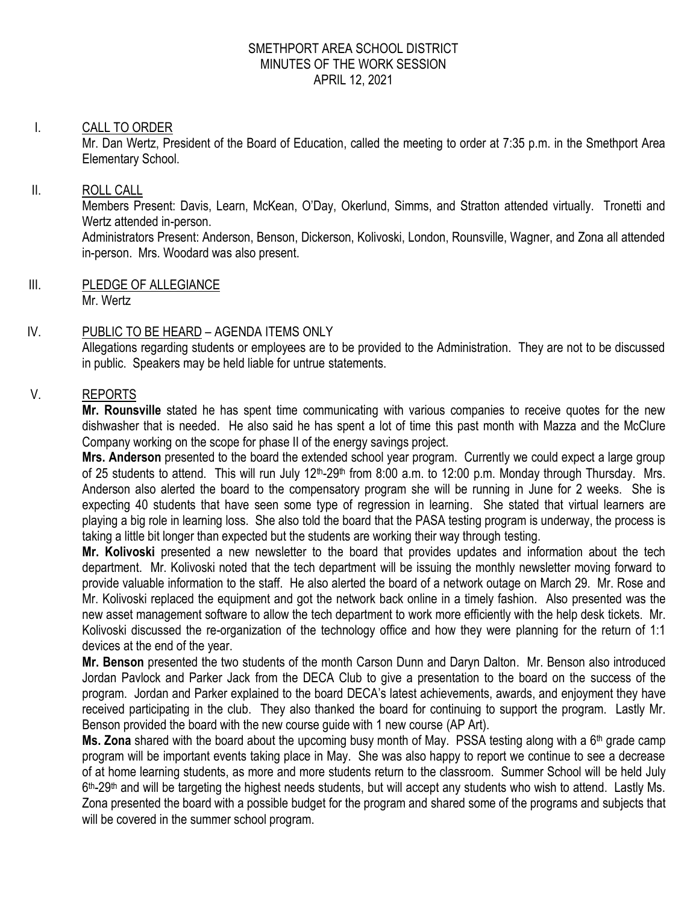#### SMETHPORT AREA SCHOOL DISTRICT MINUTES OF THE WORK SESSION APRIL 12, 2021

#### I. CALL TO ORDER

Mr. Dan Wertz, President of the Board of Education, called the meeting to order at 7:35 p.m. in the Smethport Area Elementary School.

#### II. ROLL CALL

Members Present: Davis, Learn, McKean, O'Day, Okerlund, Simms, and Stratton attended virtually. Tronetti and Wertz attended in-person.

Administrators Present: Anderson, Benson, Dickerson, Kolivoski, London, Rounsville, Wagner, and Zona all attended in-person. Mrs. Woodard was also present.

III. PLEDGE OF ALLEGIANCE Mr. Wertz

## IV. PUBLIC TO BE HEARD – AGENDA ITEMS ONLY

Allegations regarding students or employees are to be provided to the Administration. They are not to be discussed in public. Speakers may be held liable for untrue statements.

## V. REPORTS

**Mr. Rounsville** stated he has spent time communicating with various companies to receive quotes for the new dishwasher that is needed. He also said he has spent a lot of time this past month with Mazza and the McClure Company working on the scope for phase II of the energy savings project.

**Mrs. Anderson** presented to the board the extended school year program. Currently we could expect a large group of 25 students to attend. This will run July 12<sup>th</sup>-29<sup>th</sup> from 8:00 a.m. to 12:00 p.m. Monday through Thursday. Mrs. Anderson also alerted the board to the compensatory program she will be running in June for 2 weeks. She is expecting 40 students that have seen some type of regression in learning. She stated that virtual learners are playing a big role in learning loss. She also told the board that the PASA testing program is underway, the process is taking a little bit longer than expected but the students are working their way through testing.

**Mr. Kolivoski** presented a new newsletter to the board that provides updates and information about the tech department. Mr. Kolivoski noted that the tech department will be issuing the monthly newsletter moving forward to provide valuable information to the staff. He also alerted the board of a network outage on March 29. Mr. Rose and Mr. Kolivoski replaced the equipment and got the network back online in a timely fashion. Also presented was the new asset management software to allow the tech department to work more efficiently with the help desk tickets. Mr. Kolivoski discussed the re-organization of the technology office and how they were planning for the return of 1:1 devices at the end of the year.

**Mr. Benson** presented the two students of the month Carson Dunn and Daryn Dalton. Mr. Benson also introduced Jordan Pavlock and Parker Jack from the DECA Club to give a presentation to the board on the success of the program. Jordan and Parker explained to the board DECA's latest achievements, awards, and enjoyment they have received participating in the club. They also thanked the board for continuing to support the program. Lastly Mr. Benson provided the board with the new course guide with 1 new course (AP Art).

**Ms. Zona** shared with the board about the upcoming busy month of May. PSSA testing along with a 6<sup>th</sup> grade camp program will be important events taking place in May. She was also happy to report we continue to see a decrease of at home learning students, as more and more students return to the classroom. Summer School will be held July 6<sup>th</sup>-29<sup>th</sup> and will be targeting the highest needs students, but will accept any students who wish to attend. Lastly Ms. Zona presented the board with a possible budget for the program and shared some of the programs and subjects that will be covered in the summer school program.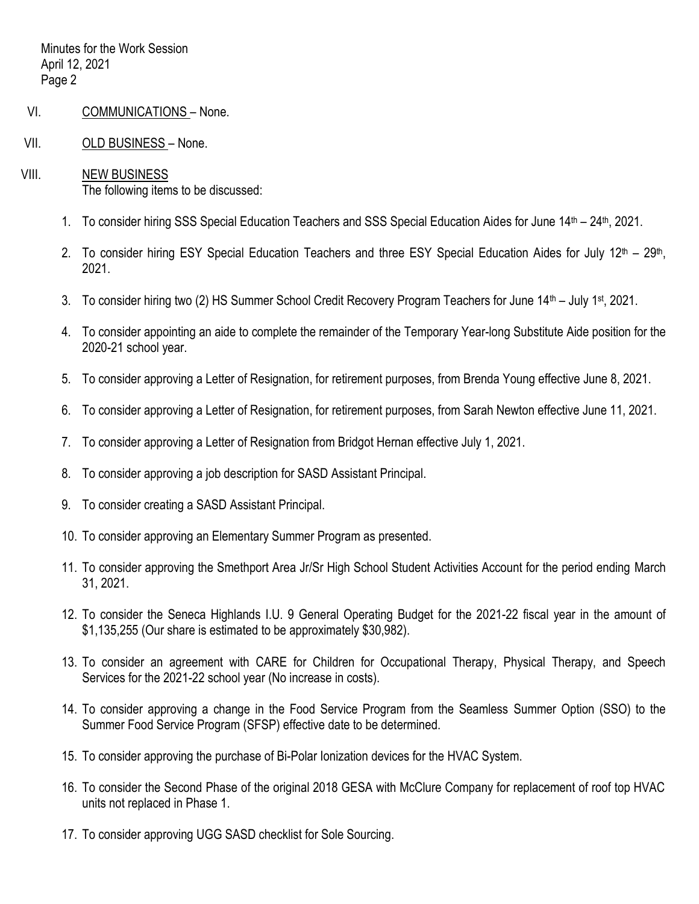- VI. COMMUNICATIONS None.
- VII. OLD BUSINESS None.
- VIII. NEW BUSINESS The following items to be discussed:
	- 1. To consider hiring SSS Special Education Teachers and SSS Special Education Aides for June 14<sup>th</sup> 24<sup>th</sup>, 2021.
	- 2. To consider hiring ESY Special Education Teachers and three ESY Special Education Aides for July 12<sup>th</sup> 29<sup>th</sup>, 2021.
	- 3. To consider hiring two (2) HS Summer School Credit Recovery Program Teachers for June  $14<sup>th</sup>$  July 1<sup>st</sup>, 2021.
	- 4. To consider appointing an aide to complete the remainder of the Temporary Year-long Substitute Aide position for the 2020-21 school year.
	- 5. To consider approving a Letter of Resignation, for retirement purposes, from Brenda Young effective June 8, 2021.
	- 6. To consider approving a Letter of Resignation, for retirement purposes, from Sarah Newton effective June 11, 2021.
	- 7. To consider approving a Letter of Resignation from Bridgot Hernan effective July 1, 2021.
	- 8. To consider approving a job description for SASD Assistant Principal.
	- 9. To consider creating a SASD Assistant Principal.
	- 10. To consider approving an Elementary Summer Program as presented.
	- 11. To consider approving the Smethport Area Jr/Sr High School Student Activities Account for the period ending March 31, 2021.
	- 12. To consider the Seneca Highlands I.U. 9 General Operating Budget for the 2021-22 fiscal year in the amount of \$1,135,255 (Our share is estimated to be approximately \$30,982).
	- 13. To consider an agreement with CARE for Children for Occupational Therapy, Physical Therapy, and Speech Services for the 2021-22 school year (No increase in costs).
	- 14. To consider approving a change in the Food Service Program from the Seamless Summer Option (SSO) to the Summer Food Service Program (SFSP) effective date to be determined.
	- 15. To consider approving the purchase of Bi-Polar Ionization devices for the HVAC System.
	- 16. To consider the Second Phase of the original 2018 GESA with McClure Company for replacement of roof top HVAC units not replaced in Phase 1.
	- 17. To consider approving UGG SASD checklist for Sole Sourcing.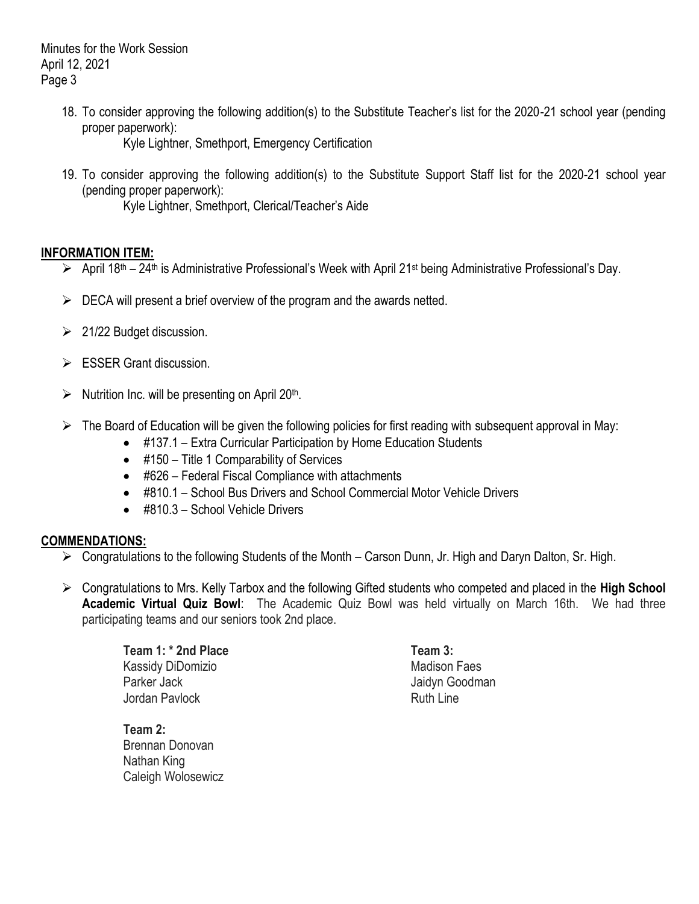18. To consider approving the following addition(s) to the Substitute Teacher's list for the 2020-21 school year (pending proper paperwork):

Kyle Lightner, Smethport, Emergency Certification

19. To consider approving the following addition(s) to the Substitute Support Staff list for the 2020-21 school year (pending proper paperwork):

Kyle Lightner, Smethport, Clerical/Teacher's Aide

## **INFORMATION ITEM:**

- > April 18<sup>th</sup> 24<sup>th</sup> is Administrative Professional's Week with April 21<sup>st</sup> being Administrative Professional's Day.
- $\triangleright$  DECA will present a brief overview of the program and the awards netted.
- $\geq$  21/22 Budget discussion.
- $\triangleright$  ESSER Grant discussion.
- $\triangleright$  Nutrition Inc. will be presenting on April 20<sup>th</sup>.
- $\triangleright$  The Board of Education will be given the following policies for first reading with subsequent approval in May:
	- #137.1 Extra Curricular Participation by Home Education Students
	- #150 Title 1 Comparability of Services
	- #626 Federal Fiscal Compliance with attachments
	- #810.1 School Bus Drivers and School Commercial Motor Vehicle Drivers
	- #810.3 School Vehicle Drivers

## **COMMENDATIONS:**

- $\triangleright$  Congratulations to the following Students of the Month Carson Dunn, Jr. High and Daryn Dalton, Sr. High.
- Congratulations to Mrs. Kelly Tarbox and the following Gifted students who competed and placed in the **High School Academic Virtual Quiz Bowl**: The Academic Quiz Bowl was held virtually on March 16th. We had three participating teams and our seniors took 2nd place.

**Team 1: \* 2nd Place Team 3:** Kassidy DiDomizio **Madison Faes** Madison Faes Parker Jack **Jaidyn** Goodman Jordan Pavlock **Ruth Line** Ruth Line

**Team 2:** Brennan Donovan Nathan King Caleigh Wolosewicz